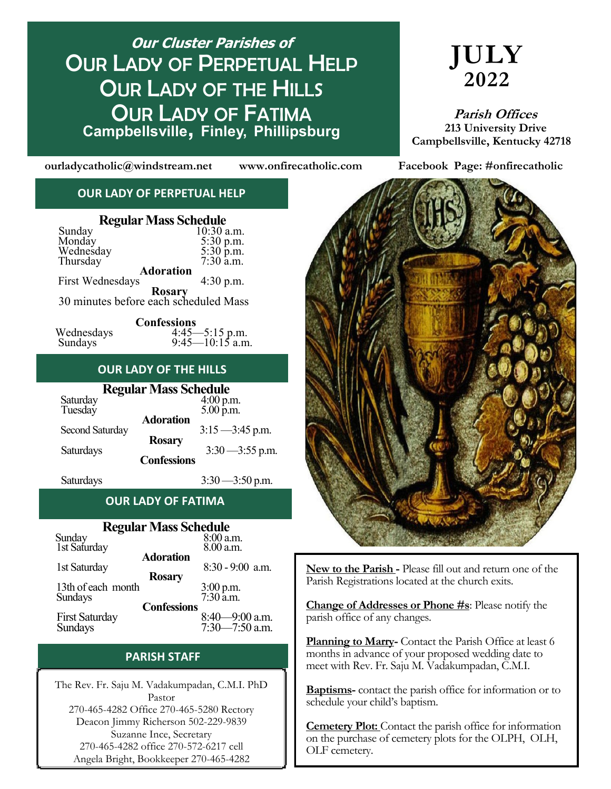# **Phone: 270 46645-4283**<br>Campbellsville, Finley, Phillipsburg **Our Cluster Parishes of** OUR LADY OF PERPETUAL HELP **OUR LADY OF THE HILLS** OUR LADY OF FATIMA

# **JULY 2022**

 **Parish Offices 213 University Drive Campbellsville, Kentucky 42718**

**ourladycatholic@windstream.net www.onfirecatholic.com Facebook Page: #onfirecatholic**

#### **OUR LADY OF PERPETUAL HELP**

| <b>Regular Mass Schedule</b>                           |                                     |  |  |  |
|--------------------------------------------------------|-------------------------------------|--|--|--|
| Sunday<br>Monday<br>Wednesday<br>Thursday              | 10:30 a.m.                          |  |  |  |
|                                                        | 5:30 p.m.<br>5:30 p.m.<br>7:30 a.m. |  |  |  |
|                                                        |                                     |  |  |  |
|                                                        |                                     |  |  |  |
| <b>Adoration</b>                                       |                                     |  |  |  |
| <b>First Wednesdays</b>                                | 4:30 p.m.                           |  |  |  |
| <b>Rosary</b><br>30 minutes before each scheduled Mass |                                     |  |  |  |

|            | <b>Confessions</b> |
|------------|--------------------|
| Wednesdays | $4:45 - 5:15$ p.m. |
| Sundays    | $9:45-10:15$ a.m.  |

#### **OUR LADY OF THE HILLS**

| <b>Regular Mass Schedule</b> |                                                         |  |  |  |
|------------------------------|---------------------------------------------------------|--|--|--|
|                              | $4:00$ p.m.                                             |  |  |  |
|                              | $5.00$ p.m.                                             |  |  |  |
|                              |                                                         |  |  |  |
|                              | $3:15 - 3:45$ p.m.                                      |  |  |  |
|                              |                                                         |  |  |  |
|                              | $3:30 - 3:55$ p.m.                                      |  |  |  |
|                              |                                                         |  |  |  |
|                              | <b>Adoration</b><br><b>Rosary</b><br><b>Confessions</b> |  |  |  |

Saturdays 3:30 — 3:50 p.m.

### **OUR LADY OF FATIMA**

### **Regular Mass Schedule**

| Tre Count Transportance |                        |
|-------------------------|------------------------|
| Sunday<br>1st Saturday  | 8:00 a.m.              |
|                         | 8.00 a.m.              |
| <b>Adoration</b>        |                        |
| 1st Saturday            | 8:30 - 9:00 a.m.       |
| <b>Rosary</b>           |                        |
| 13th of each month      |                        |
| Sundays                 | 3:00 p.m.<br>7:30 a.m. |
| <b>Confessions</b>      |                        |
| <b>First Saturday</b>   | $8:40 - 9:00$ a.m.     |
| Sundays                 | $7:30 - 7:50$ a.m.     |
|                         |                        |

#### **PARISH STAFF**

The Rev. Fr. Saju M. Vadakumpadan, C.M.I. PhD Pastor 270-465-4282 Office 270-465-5280 Rectory Deacon Jimmy Richerson 502-229-9839 Suzanne Ince, Secretary 270-465-4282 office 270-572-6217 cell Angela Bright, Bookkeeper 270-465-4282



**New to the Parish -** Please fill out and return one of the Parish Registrations located at the church exits.

**Change of Addresses or Phone #s**: Please notify the parish office of any changes.

**Planning to Marry-** Contact the Parish Office at least 6 months in advance of your proposed wedding date to meet with Rev. Fr. Saju M. Vadakumpadan, C.M.I.

**Baptisms-** contact the parish office for information or to schedule your child's baptism.

**Cemetery Plot:** Contact the parish office for information on the purchase of cemetery plots for the OLPH, OLH, OLF cemetery.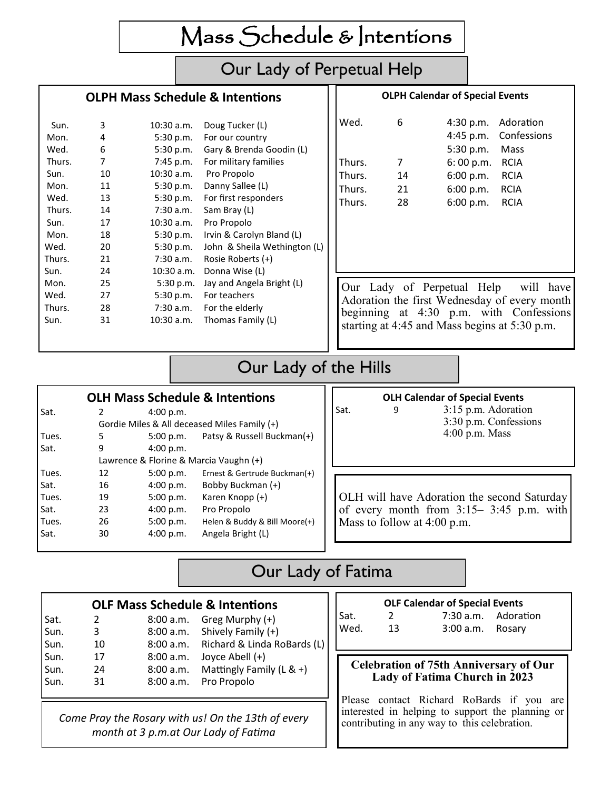Mass Schedule & Intentions

## Our Lady of Perpetual Help

#### **OLPH Mass Schedule & Intentions**

#### **OLPH Calendar of Special Events**

| Sun.   | 3  | 10:30 a.m.  | Doug Tucker (L)              | Wed.                                                                                                                  | 6  | 4:30 p.m.                                     | Adoration   |
|--------|----|-------------|------------------------------|-----------------------------------------------------------------------------------------------------------------------|----|-----------------------------------------------|-------------|
| Mon.   | 4  | 5:30 p.m.   | For our country              |                                                                                                                       |    | 4:45 p.m.                                     | Confessions |
| Wed.   | 6  | 5:30 p.m.   | Gary & Brenda Goodin (L)     |                                                                                                                       |    | 5:30 p.m.                                     | Mass        |
| Thurs. | 7  | $7:45$ p.m. | For military families        | Thurs.                                                                                                                | 7  | 6:00 p.m.                                     | <b>RCIA</b> |
| Sun.   | 10 | 10:30 a.m.  | Pro Propolo                  | Thurs.                                                                                                                | 14 | 6:00 p.m.                                     | <b>RCIA</b> |
| Mon.   | 11 | 5:30 p.m.   | Danny Sallee (L)             | Thurs.                                                                                                                | 21 | 6:00 p.m.                                     | <b>RCIA</b> |
| Wed.   | 13 | 5:30 p.m.   | For first responders         | Thurs.                                                                                                                | 28 | 6:00 p.m.                                     | <b>RCIA</b> |
| Thurs. | 14 | 7:30 a.m.   | Sam Bray (L)                 |                                                                                                                       |    |                                               |             |
| Sun.   | 17 | 10:30 a.m.  | Pro Propolo                  |                                                                                                                       |    |                                               |             |
| Mon.   | 18 | 5:30 p.m.   | Irvin & Carolyn Bland (L)    |                                                                                                                       |    |                                               |             |
| Wed.   | 20 | 5:30 p.m.   | John & Sheila Wethington (L) |                                                                                                                       |    |                                               |             |
| Thurs. | 21 | 7:30 a.m.   | Rosie Roberts (+)            |                                                                                                                       |    |                                               |             |
| Sun.   | 24 | 10:30 a.m.  | Donna Wise (L)               |                                                                                                                       |    |                                               |             |
| Mon.   | 25 | 5:30 p.m.   | Jay and Angela Bright (L)    |                                                                                                                       |    |                                               | will have   |
| Wed.   | 27 | 5:30 p.m.   | For teachers                 | Our Lady of Perpetual Help<br>Adoration the first Wednesday of every month<br>beginning at 4:30 p.m. with Confessions |    |                                               |             |
| Thurs. | 28 | 7:30 a.m.   | For the elderly              |                                                                                                                       |    |                                               |             |
| Sun.   | 31 | 10:30 a.m.  | Thomas Family (L)            |                                                                                                                       |    | starting at 4:45 and Mass begins at 5:30 p.m. |             |

# Our Lady of the Hills

| <b>OLH Mass Schedule &amp; Intentions</b> |                                        |           |                                              |  |  |
|-------------------------------------------|----------------------------------------|-----------|----------------------------------------------|--|--|
| Sat.                                      | 2                                      | 4:00 p.m. |                                              |  |  |
|                                           |                                        |           | Gordie Miles & All deceased Miles Family (+) |  |  |
| Tues.                                     | 5                                      | 5:00 p.m. | Patsy & Russell Buckman(+)                   |  |  |
| Sat.                                      | 9                                      | 4:00 p.m. |                                              |  |  |
|                                           | Lawrence & Florine & Marcia Vaughn (+) |           |                                              |  |  |
| Tues.                                     | 12                                     | 5:00 p.m. | Ernest & Gertrude Buckman(+)                 |  |  |
| Sat.                                      | 16                                     | 4:00 p.m. | Bobby Buckman (+)                            |  |  |
| Tues.                                     | 19                                     | 5:00 p.m. | Karen Knopp (+)                              |  |  |
| Sat.                                      | 23                                     | 4:00 p.m. | Pro Propolo                                  |  |  |
| Tues.                                     | 26                                     | 5:00 p.m. | Helen & Buddy & Bill Moore(+)                |  |  |
| Sat.                                      | 30                                     | 4:00 p.m. | Angela Bright (L)                            |  |  |
|                                           |                                        |           |                                              |  |  |

#### **OLH Calendar of Special Events**

Sat. 9 3:15 p.m. Adoration 3:30 p.m. Confessions 4:00 p.m. Mass

OLH will have Adoration the second Saturday of every month from 3:15– 3:45 p.m. with Mass to follow at 4:00 p.m.

# Our Lady of Fatima

| <b>OLF Mass Schedule &amp; Intentions</b> |    |           |                                       |  |
|-------------------------------------------|----|-----------|---------------------------------------|--|
|                                           | 2  |           | 8:00 a.m. Greg Murphy $(+)$           |  |
| Sat.<br>Sun.                              | 3  |           | 8:00 a.m. Shively Family (+)          |  |
| Sun.                                      | 10 |           | 8:00 a.m. Richard & Linda RoBards (L) |  |
| Sun.                                      | 17 | 8:00 a.m. | Joyce Abell (+)                       |  |
| Sun.                                      | 24 |           | 8:00 a.m. Mattingly Family (L & +)    |  |
| Sun.                                      | 31 |           | 8:00 a.m. Pro Propolo                 |  |
|                                           |    |           |                                       |  |

**OLF Calendar of Special Events** Sat. 2 7:30 a.m. Adoration Wed. 13 3:00 a.m. Rosary

#### **Celebration of 75th Anniversary of Our Lady of Fatima Church in 2023**

Please contact Richard RoBards if you are interested in helping to support the planning or contributing in any way to this celebration.

*Come Pray the Rosary with us! On the 13th of every month at 3 p.m.at Our Lady of Fatima*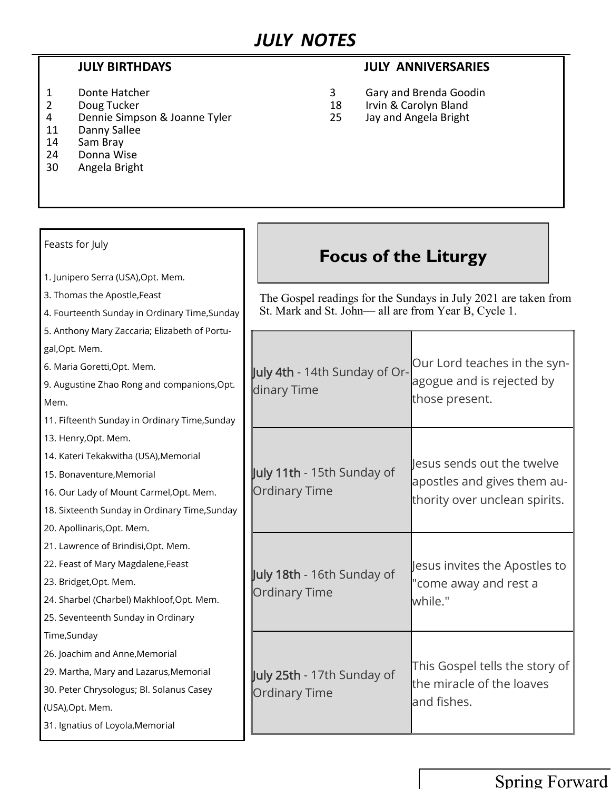- 
- 4 Dennie Simpson & Joanne Tyler 25 Jay and Angela Bright
- 11 Danny Sallee<br>14 Sam Brav
- Sam Bray
- 24 Donna Wise
- 30 Angela Bright

### **JULY BIRTHDAYS JULY ANNIVERSARIES**

- 1 Donte Hatcher 1 Communication of the USA Cary and Brenda Goodin<br>2 Doug Tucker 18 Irvin & Carolyn Bland
	- 2 Doug Tucker 18 Irvin & Carolyn Bland
		-

#### July 4th - 14th Sunday of Ordinary Time Our Lord teaches in the synagogue and is rejected by those present. July 11th - 15th Sunday of Ordinary Time Jesus sends out the twelve apostles and gives them authority over unclean spirits. July 18th - 16th Sunday of Ordinary Time Jesus invites the Apostles to "come away and rest a while." July 25th - 17th Sunday of Ordinary Time This Gospel tells the story of the miracle of the loaves and fishes. **Focus of the Liturgy** Feasts for July 1. Junipero Serra (USA),Opt. Mem. 3. Thomas the Apostle,Feast 4. Fourteenth Sunday in Ordinary Time,Sunday 5. Anthony Mary Zaccaria; Elizabeth of Portugal,Opt. Mem. 6. Maria Goretti,Opt. Mem. 9. Augustine Zhao Rong and companions,Opt. Mem. 11. Fifteenth Sunday in Ordinary Time,Sunday 13. Henry,Opt. Mem. 14. Kateri Tekakwitha (USA),Memorial 15. Bonaventure,Memorial 16. Our Lady of Mount Carmel,Opt. Mem. 18. Sixteenth Sunday in Ordinary Time,Sunday 20. Apollinaris,Opt. Mem. 21. Lawrence of Brindisi,Opt. Mem. 22. Feast of Mary Magdalene,Feast 23. Bridget,Opt. Mem. 24. Sharbel (Charbel) Makhloof,Opt. Mem. 25. Seventeenth Sunday in Ordinary Time,Sunday 26. Joachim and Anne,Memorial 29. Martha, Mary and Lazarus,Memorial 30. Peter Chrysologus; Bl. Solanus Casey (USA),Opt. Mem. 31. Ignatius of Loyola,Memorial The Gospel readings for the Sundays in July 2021 are taken from St. Mark and St. John— all are from Year B, Cycle 1.

## Spring Forward